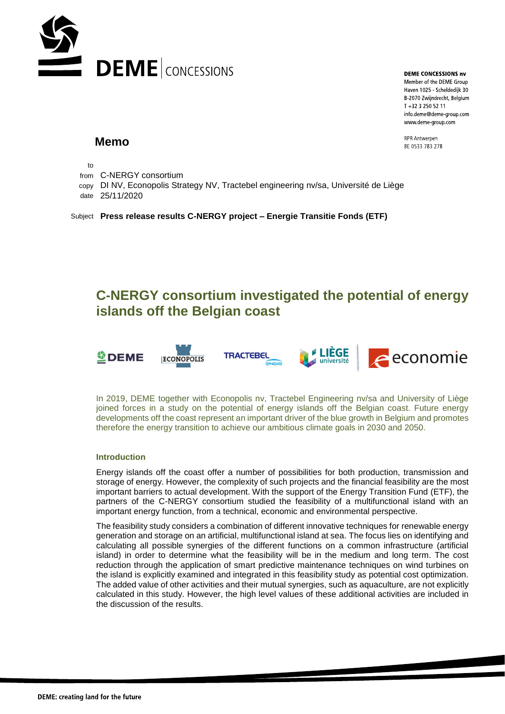

**DEME CONCESSIONS nv** Member of the DEME Group Haven 1025 - Scheldedijk 30 B-2070 Zwijndrecht, Belgium T +32 3 250 52 11 info.deme@deme-group.com

www.deme-group.com

RPR Antwerpen BF 0533 783 278

**Memo**

to

- from C-NERGY consortium
- copy DI NV, Econopolis Strategy NV, Tractebel engineering nv/sa, Université de Liège
- date 25/11/2020

Subject **Press release results C-NERGY project – Energie Transitie Fonds (ETF)**

# **C-NERGY consortium investigated the potential of energy islands off the Belgian coast**



**ECONOPOLIS** 







In 2019, DEME together with Econopolis nv, Tractebel Engineering nv/sa and University of Liège joined forces in a study on the potential of energy islands off the Belgian coast. Future energy developments off the coast represent an important driver of the blue growth in Belgium and promotes therefore the energy transition to achieve our ambitious climate goals in 2030 and 2050.

### **Introduction**

Energy islands off the coast offer a number of possibilities for both production, transmission and storage of energy. However, the complexity of such projects and the financial feasibility are the most important barriers to actual development. With the support of the Energy Transition Fund (ETF), the partners of the C-NERGY consortium studied the feasibility of a multifunctional island with an important energy function, from a technical, economic and environmental perspective.

The feasibility study considers a combination of different innovative techniques for renewable energy generation and storage on an artificial, multifunctional island at sea. The focus lies on identifying and calculating all possible synergies of the different functions on a common infrastructure (artificial island) in order to determine what the feasibility will be in the medium and long term. The cost reduction through the application of smart predictive maintenance techniques on wind turbines on the island is explicitly examined and integrated in this feasibility study as potential cost optimization. The added value of other activities and their mutual synergies, such as aquaculture, are not explicitly calculated in this study. However, the high level values of these additional activities are included in the discussion of the results.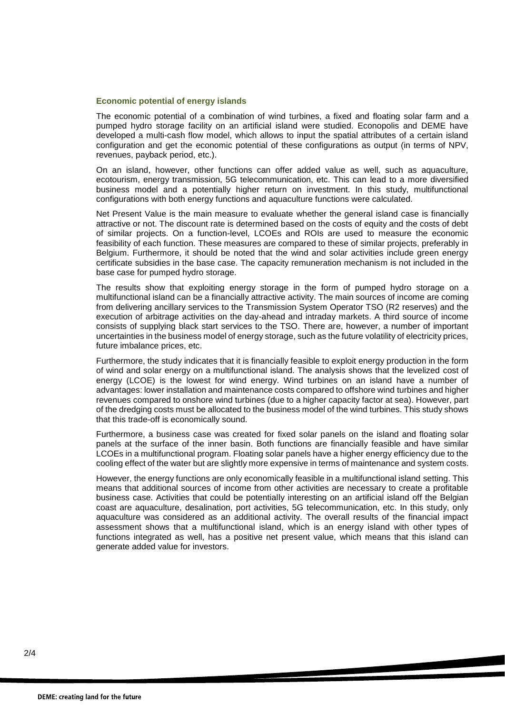#### **Economic potential of energy islands**

The economic potential of a combination of wind turbines, a fixed and floating solar farm and a pumped hydro storage facility on an artificial island were studied. Econopolis and DEME have developed a multi-cash flow model, which allows to input the spatial attributes of a certain island configuration and get the economic potential of these configurations as output (in terms of NPV, revenues, payback period, etc.).

On an island, however, other functions can offer added value as well, such as aquaculture, ecotourism, energy transmission, 5G telecommunication, etc. This can lead to a more diversified business model and a potentially higher return on investment. In this study, multifunctional configurations with both energy functions and aquaculture functions were calculated.

Net Present Value is the main measure to evaluate whether the general island case is financially attractive or not. The discount rate is determined based on the costs of equity and the costs of debt of similar projects. On a function-level, LCOEs and ROIs are used to measure the economic feasibility of each function. These measures are compared to these of similar projects, preferably in Belgium. Furthermore, it should be noted that the wind and solar activities include green energy certificate subsidies in the base case. The capacity remuneration mechanism is not included in the base case for pumped hydro storage.

The results show that exploiting energy storage in the form of pumped hydro storage on a multifunctional island can be a financially attractive activity. The main sources of income are coming from delivering ancillary services to the Transmission System Operator TSO (R2 reserves) and the execution of arbitrage activities on the day-ahead and intraday markets. A third source of income consists of supplying black start services to the TSO. There are, however, a number of important uncertainties in the business model of energy storage, such as the future volatility of electricity prices, future imbalance prices, etc.

Furthermore, the study indicates that it is financially feasible to exploit energy production in the form of wind and solar energy on a multifunctional island. The analysis shows that the levelized cost of energy (LCOE) is the lowest for wind energy. Wind turbines on an island have a number of advantages: lower installation and maintenance costs compared to offshore wind turbines and higher revenues compared to onshore wind turbines (due to a higher capacity factor at sea). However, part of the dredging costs must be allocated to the business model of the wind turbines. This study shows that this trade-off is economically sound.

Furthermore, a business case was created for fixed solar panels on the island and floating solar panels at the surface of the inner basin. Both functions are financially feasible and have similar LCOEs in a multifunctional program. Floating solar panels have a higher energy efficiency due to the cooling effect of the water but are slightly more expensive in terms of maintenance and system costs.

However, the energy functions are only economically feasible in a multifunctional island setting. This means that additional sources of income from other activities are necessary to create a profitable business case. Activities that could be potentially interesting on an artificial island off the Belgian coast are aquaculture, desalination, port activities, 5G telecommunication, etc. In this study, only aquaculture was considered as an additional activity. The overall results of the financial impact assessment shows that a multifunctional island, which is an energy island with other types of functions integrated as well, has a positive net present value, which means that this island can generate added value for investors.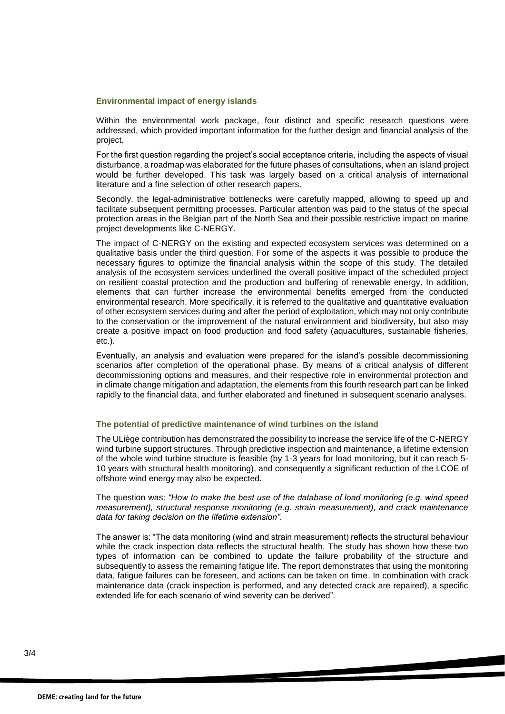#### **Environmental impact of energy islands**

Within the environmental work package, four distinct and specific research questions were addressed, which provided important information for the further design and financial analysis of the project.

For the first question regarding the project's social acceptance criteria, including the aspects of visual disturbance, a roadmap was elaborated for the future phases of consultations, when an island project would be further developed. This task was largely based on a critical analysis of international literature and a fine selection of other research papers.

Secondly, the legal-administrative bottlenecks were carefully mapped, allowing to speed up and facilitate subsequent permitting processes. Particular attention was paid to the status of the special protection areas in the Belgian part of the North Sea and their possible restrictive impact on marine project developments like C-NERGY.

The impact of C-NERGY on the existing and expected ecosystem services was determined on a qualitative basis under the third question. For some of the aspects it was possible to produce the necessary figures to optimize the financial analysis within the scope of this study. The detailed analysis of the ecosystem services underlined the overall positive impact of the scheduled project on resilient coastal protection and the production and buffering of renewable energy. In addition, elements that can further increase the environmental benefits emerged from the conducted environmental research. More specifically, it is referred to the qualitative and quantitative evaluation of other ecosystem services during and after the period of exploitation, which may not only contribute to the conservation or the improvement of the natural environment and biodiversity, but also may create a positive impact on food production and food safety (aquacultures, sustainable fisheries, etc.).

Eventually, an analysis and evaluation were prepared for the island's possible decommissioning scenarios after completion of the operational phase. By means of a critical analysis of different decommissioning options and measures, and their respective role in environmental protection and in climate change mitigation and adaptation, the elements from this fourth research part can be linked rapidly to the financial data, and further elaborated and finetuned in subsequent scenario analyses.

## **The potential of predictive maintenance of wind turbines on the island**

The ULiège contribution has demonstrated the possibility to increase the service life of the C-NERGY wind turbine support structures. Through predictive inspection and maintenance, a lifetime extension of the whole wind turbine structure is feasible (by 1-3 years for load monitoring, but it can reach 5- 10 years with structural health monitoring), and consequently a significant reduction of the LCOE of offshore wind energy may also be expected.

The question was: *"How to make the best use of the database of load monitoring (e.g. wind speed measurement), structural response monitoring (e.g. strain measurement), and crack maintenance data for taking decision on the lifetime extension".*

The answer is: "The data monitoring (wind and strain measurement) reflects the structural behaviour while the crack inspection data reflects the structural health. The study has shown how these two types of information can be combined to update the failure probability of the structure and subsequently to assess the remaining fatigue life. The report demonstrates that using the monitoring data, fatigue failures can be foreseen, and actions can be taken on time. In combination with crack maintenance data (crack inspection is performed, and any detected crack are repaired), a specific extended life for each scenario of wind severity can be derived".